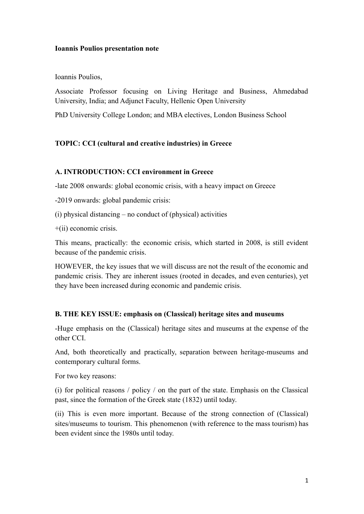#### **Ioannis Poulios presentation note**

Ioannis Poulios,

Associate Professor focusing on Living Heritage and Business, Ahmedabad University, India; and Adjunct Faculty, Hellenic Open University

PhD University College London; and MBA electives, London Business School

# **TOPIC: CCI (cultural and creative industries) in Greece**

#### **A. INTRODUCTION: CCI environment in Greece**

-late 2008 onwards: global economic crisis, with a heavy impact on Greece

-2019 onwards: global pandemic crisis:

(i) physical distancing – no conduct of (physical) activities

+(ii) economic crisis.

This means, practically: the economic crisis, which started in 2008, is still evident because of the pandemic crisis.

HOWEVER, the key issues that we will discuss are not the result of the economic and pandemic crisis. They are inherent issues (rooted in decades, and even centuries), yet they have been increased during economic and pandemic crisis.

#### **B. THE KEY ISSUE: emphasis on (Classical) heritage sites and museums**

-Huge emphasis on the (Classical) heritage sites and museums at the expense of the other CCI.

And, both theoretically and practically, separation between heritage-museums and contemporary cultural forms.

For two key reasons:

(i) for political reasons / policy / on the part of the state. Emphasis on the Classical past, since the formation of the Greek state (1832) until today.

(ii) This is even more important. Because of the strong connection of (Classical) sites/museums to tourism. This phenomenon (with reference to the mass tourism) has been evident since the 1980s until today.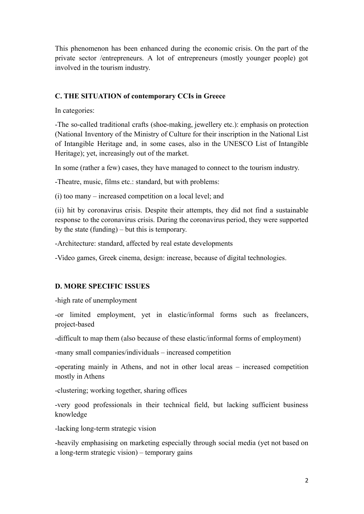This phenomenon has been enhanced during the economic crisis. On the part of the private sector /entrepreneurs. A lot of entrepreneurs (mostly younger people) got involved in the tourism industry.

# **C. THE SITUATION of contemporary CCIs in Greece**

In categories:

-The so-called traditional crafts (shoe-making, jewellery etc.): emphasis on protection (National Inventory of the Ministry of Culture for their inscription in the National List of Intangible Heritage and, in some cases, also in the UNESCO List of Intangible Heritage); yet, increasingly out of the market.

In some (rather a few) cases, they have managed to connect to the tourism industry.

-Theatre, music, films etc.: standard, but with problems:

(i) too many – increased competition on a local level; and

(ii) hit by coronavirus crisis. Despite their attempts, they did not find a sustainable response to the coronavirus crisis. During the coronavirus period, they were supported by the state (funding) – but this is temporary.

-Architecture: standard, affected by real estate developments

-Video games, Greek cinema, design: increase, because of digital technologies.

# **D. MORE SPECIFIC ISSUES**

-high rate of unemployment

-or limited employment, yet in elastic/informal forms such as freelancers, project-based

-difficult to map them (also because of these elastic/informal forms of employment)

-many small companies/individuals – increased competition

-operating mainly in Athens, and not in other local areas – increased competition mostly in Athens

-clustering; working together, sharing offices

-very good professionals in their technical field, but lacking sufficient business knowledge

-lacking long-term strategic vision

-heavily emphasising on marketing especially through social media (yet not based on a long-term strategic vision) – temporary gains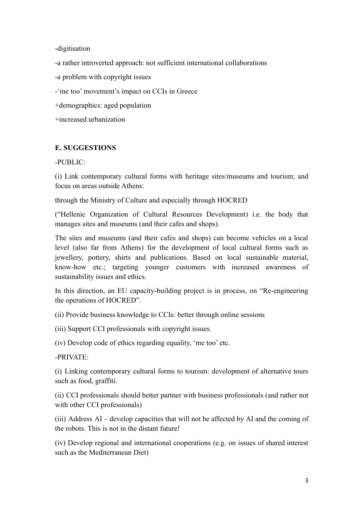-digitisation

-a rather introverted approach: not sufficient international collaborations

-a problem with copyright issues

-'me too' movement's impact on CCIs in Greece

+demographics: aged population

+increased urbanization

# **E. SUGGESTIONS**

-PUBLIC:

(i) Link contemporary cultural forms with heritage sites/museums and tourism; and focus on areas outside Athens:

through the Ministry of Culture and especially through HOCRED

("Hellenic Organization of Cultural Resources Development) i.e. the body that manages sites and museums (and their cafes and shops).

The sites and museums (and their cafes and shops) can become vehicles on a local level (also far from Athens) for the development of local cultural forms such as jewellery, pottery, shirts and publications. Based on local sustainable material, know-how etc.; targeting younger customers with increased awareness of sustainability issues and ethics.

In this direction, an EU capacity-building project is in process, on "Re-engineering the operations of HOCRED".

(ii) Provide business knowledge to CCIs: better through online sessions

(iii) Support CCI professionals with copyright issues.

(iv) Develop code of ethics regarding equality, 'me too' etc.

-PRIVATE:

(i) Linking contemporary cultural forms to tourism: development of alternative tours such as food, graffiti.

(ii) CCI professionals should better partner with business professionals (and rather not with other CCI professionals)

(iii) Address AI – develop capacities that will not be affected by AI and the coming of the robots. This is not in the distant future!

(iv) Develop regional and international cooperations (e.g. on issues of shared interest such as the Mediterranean Diet)